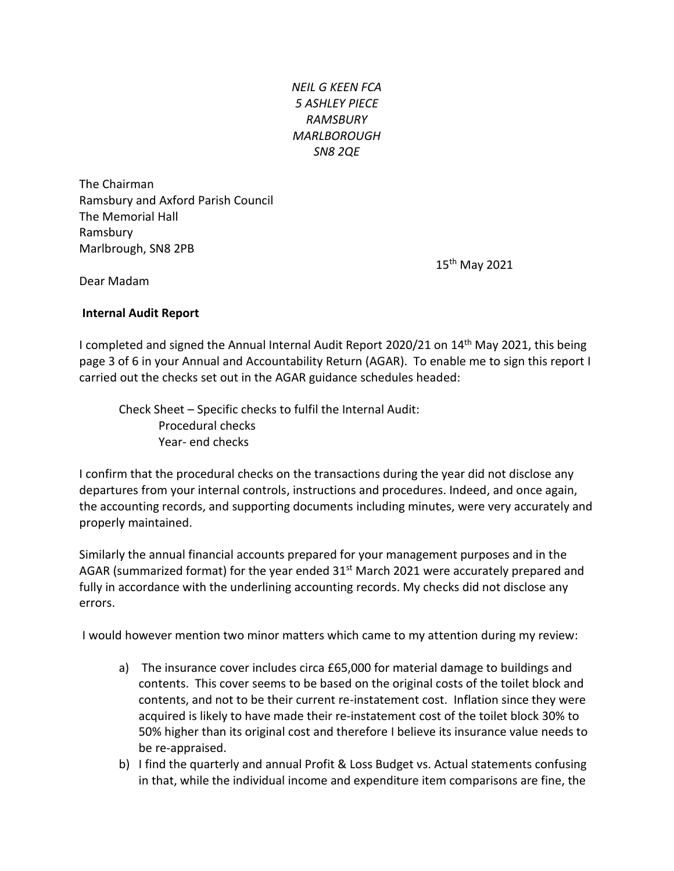*NEIL G KEEN FCA 5 ASHLEY PIECE RAMSBURY MARLBOROUGH SN8 2QE*

The Chairman Ramsbury and Axford Parish Council The Memorial Hall Ramsbury Marlbrough, SN8 2PB

15<sup>th</sup> May 2021

Dear Madam

## **Internal Audit Report**

I completed and signed the Annual Internal Audit Report 2020/21 on 14th May 2021, this being page 3 of 6 in your Annual and Accountability Return (AGAR). To enable me to sign this report I carried out the checks set out in the AGAR guidance schedules headed:

Check Sheet – Specific checks to fulfil the Internal Audit: Procedural checks Year- end checks

I confirm that the procedural checks on the transactions during the year did not disclose any departures from your internal controls, instructions and procedures. Indeed, and once again, the accounting records, and supporting documents including minutes, were very accurately and properly maintained.

Similarly the annual financial accounts prepared for your management purposes and in the AGAR (summarized format) for the year ended  $31^{st}$  March 2021 were accurately prepared and fully in accordance with the underlining accounting records. My checks did not disclose any errors.

I would however mention two minor matters which came to my attention during my review:

- a) The insurance cover includes circa £65,000 for material damage to buildings and contents. This cover seems to be based on the original costs of the toilet block and contents, and not to be their current re-instatement cost. Inflation since they were acquired is likely to have made their re-instatement cost of the toilet block 30% to 50% higher than its original cost and therefore I believe its insurance value needs to be re-appraised.
- b) I find the quarterly and annual Profit & Loss Budget vs. Actual statements confusing in that, while the individual income and expenditure item comparisons are fine, the